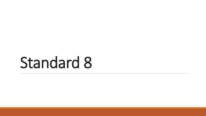# Standard 8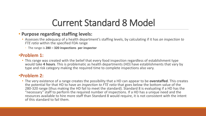#### Current Standard 8 Model

#### • **Purpose regarding staffing levels:**

- Assesses the adequacy of a health department's staffing levels, by calculating if it has *an inspection to FTE ratio* within the specified FDA range
	- The range is **280 – 320 inspections per inspector**

#### •**Problem 1:**

• This range was created with the belief that every food inspection regardless of establishment type would take **4 hours**. This is problematic as health departments (HD) have establishments that vary by type and risk category making the required time to complete inspections also vary.

#### •**Problem 2:**

• The very existence of a range creates the possibility that a HD can appear to be **overstaffed**. This creates the potential for that HD to have an *inspection to FTE ratio* that goes below the bottom value of the 280-320 range (thus making the HD fail to meet the standard). Standard 8 is evaluating if a HD has the "necessary" staff to perform the required number of inspections. If a HD has a unique need and the resources available to hire more staff than Standard 8 would require, it is not consistent with the intent of this standard to fail them.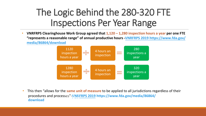# The Logic Behind the 280-320 FTE Inspections Per Year Range

• **VNRFRPS Clearinghouse Work Group agreed that 1,120 – 1,280 inspection hours a year per one FTE "represents a reasonable range" of [annual productive hours](https://www.fda.gov/media/86864/download) -VNRFRPS 2019 https://www.fda.gov/ media/86864/download**



he same unit of measure to be a<sub>l</sub> all iuricdict *i*n jurisuici • This then "allows for the **same unit of measure** to be applied to all jurisdictions regardless of their procedures and processes"-VNR[FRPS 201](https://www.fda.gov/media/86864/download)9 https://www.fda.gov/media/86864/ **download**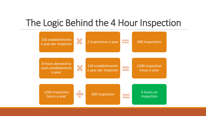#### The Logic Behind the 4 Hour Inspection

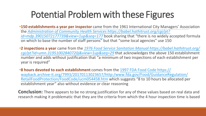# Potential Problem with these Figures

- •**150 establishments a year per inspector** came from the 1961 International City Managers' Association the *Administration of Community Health Services https://babel.hathitrust.org/cgi/pt? [id=mdp.39015072177739&view=1up&seq=177](https://babel.hathitrust.org/cgi/pt?id=mdp.39015072177739;view=1up;seq=177)* book sharing that "there is no widely accepted formula on which to base the number of staff persons" but that "some local agencies" use 150
- •**2 inspections a year** came from the *1976 Food Service Sanitation Manual https://babel.hathitrust.org/ [cgi/pt?id=umn.31951002840720j&view=1up&seq=29](https://babel.hathitrust.org/cgi/pt?id=umn.31951002840720j;view=1up;seq=29)* that acknowledges the above 150 establishment number and adds without justification that "a minimum of two inspections of each establishment per year is required"
- •**8 hours devoted to each establishment** comes from the 1997 FDA Food Code https:// [wayback.archive-it.org/7993/20170113023657/http:/www.fda.gov/Food/GuidanceRegulation/](https://wayback.archive-it.org/7993/20170113023657/http:/www.fda.gov/Food/GuidanceRegulation/RetailFoodProtection/FoodCode/ucm054458.htm) RetailFoodProtection/FoodCode/ucm054458.htm which suggests "8 to 10 hours be allocated per establishment year" also without evidence or clear reasoning

**Conclusion:** There appears to be no strong justification for any of these values based on real data and research making it problematic that they are the criteria from which the 4 hour inspection time is based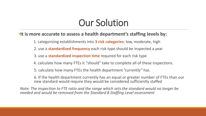# Our Solution

#### •**It is more accurate to assess a health department's staffing levels by:**

- 1. categorizing establishments into **3 risk categories**: low, moderate, high
- 2. use a **standardized frequency** each risk type should be inspected a year
- 3. use a **standardized inspection time** required for each risk type
- 4. calculate how many FTEs it "should" take to complete all of these inspections.
- 5. calculate how many FTEs the health department *"currently"* has

6. If the health department currently has an equal or greater number of FTEs than our new standard would require they would be considered sufficiently staffed

*Note: The inspection to FTE ratio and the range which sets the standard would no longer be needed and would be removed from the Standard 8 Staffing Level assessment*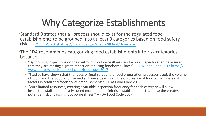# Why Categorize Establishments

•Standard 8 states that a "process should exist for the regulated food establishments to be grouped into at least 3 categories based on food safety risk" – VNRFRPS 201[9 https://www.fda.gov/media/86864/download](https://www.fda.gov/media/86864/download)

- •The FDA recommends categorizing food establishments into risk categories because:
	- "By focusing inspections on the control of foodborne illness risk factors, inspectors can be assured that they are making a great impact on reducing foodborne illness" – FDA Food Code 2017 https:// [www.fda.gov/food/fda-food-code/food-code-2017](https://www.fda.gov/food/fda-food-code/food-code-2017)
	- "Studies have shown that the types of food served, the food preparation processes used, the volume of food, and the population served all have a bearing on the occurrence of foodborne illness risk factors in retail and foodservice establishments" – FDA Food Code 2017
	- "With limited resources, creating a variable inspection frequency for each category will allow inspection staff to effectively spend more time in high risk establishments that pose the greatest potential risk of causing foodborne illness." – FDA Food Code 2017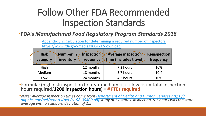# Follow Other FDA Recommended Inspection Standards

#### •**FDA's** *Manufactured Food Regulatory Program Standards 2016*

[Appendix 8.2: Calculation for determining a required number of inspectors](https://www.fda.gov/media/100421/download) https://www.fda.gov/media/100421/download

| <b>Risk</b><br>category | Number in<br>inventory | <b>Inspection</b><br>frequency | <b>Average inspection</b><br>time (includes travel) | Reinspection<br>frequency |
|-------------------------|------------------------|--------------------------------|-----------------------------------------------------|---------------------------|
| High                    |                        | 12 months                      | 7.2 hours                                           | 10%                       |
| Medium                  |                        | 18 months                      | 5.7 hours                                           | 10%                       |
| Low                     |                        | 24 months                      | 4.2 hours                                           | 10%                       |

•Formula: (high risk inspection hours + medium risk + low risk = total inspection hours required/**1200 inspection hours**) = **# FTEs required**

•*Note: Average Inspection times came from Department of Health and Human Services https:// [oig.hhs.gov/oei/reports/oei-01-98-00400.pdf](https://oig.hhs.gov/oei/reports/oei-01-98-00400.pdf) study of 37 states' inspection. 5.7 hours was the state average with a standard deviation of 1.5.*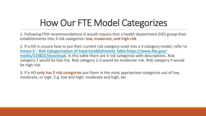# How Our FTE Model Categorizes

1. Following FDA recommendations it would require that a health department (HD) group their establishments into 3 risk categories**: low, moderate, and high risk**

2. If a HD is unsure how to put their current risk category scale into a 3 category model, refer to **Annex 5 – [Risk Categorization of Food Establishments Table](https://www.fda.gov/media/110822/download) https://www.fda.gov/ media/110822/download**. In this table there are 4 risk categories with descriptions. Risk category 1 would be low risk. Risk category 2-3 would be moderate risk. Risk category 4 would be high risk.

3. If a HD **only has 2 risk categories** put them in the most appropriate categories out of low, moderate, or high. E.g. low and high, moderate and high, etc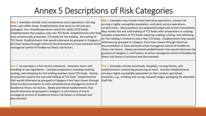#### Annex 5 Descriptions of Risk Categories

| <b>Risk 1:</b> Examples include most convenience store operations, hot dog<br>carts, and coffee shops. Establishments that serve or sell only pre-<br>packaged, non-time/temperature control for safety (TCS) foods.<br>Establishments that prepare only non-TCS foods. Establishments that heat<br>only commercially processed, TCS foods for hot holding. No cooling of<br>TCS foods. Establishments that would otherwise be grouped in Category 2<br>but have shown through historical documentation to have achieved active<br>managerial control of foodborne illness risk factors.                                                                                           | <b>Risk 2:</b> Examples may include retail food store operations, schools not<br>serving a highly susceptible population, and quick service operations.<br>Limited menu. Most products are prepared/cooked and served immediately.<br>May involve hot and cold holding of TCS foods after preparation or cooking.<br>Complex preparation of TCS foods requiring cooking, cooling, and reheating<br>for hot holding is limited to only a few TCS foods. Establishments that would<br>otherwise be grouped in Category 3 but have shown through historical<br>documentation to have achieved active managerial control of foodborne<br>illness risk factors. Newly permitted establishments that would otherwise be<br>grouped in Category 1 until history of active managerial control of foodborne<br>lillness risk factors is achieved and documented. |
|------------------------------------------------------------------------------------------------------------------------------------------------------------------------------------------------------------------------------------------------------------------------------------------------------------------------------------------------------------------------------------------------------------------------------------------------------------------------------------------------------------------------------------------------------------------------------------------------------------------------------------------------------------------------------------|---------------------------------------------------------------------------------------------------------------------------------------------------------------------------------------------------------------------------------------------------------------------------------------------------------------------------------------------------------------------------------------------------------------------------------------------------------------------------------------------------------------------------------------------------------------------------------------------------------------------------------------------------------------------------------------------------------------------------------------------------------------------------------------------------------------------------------------------------------|
| Risk 3: An example is a full service restaurant. Extensive menu and<br>handling of raw ingredients. Complex preparation including cooking,<br>cooling, and reheating for hot holding involves many TCS foods. Variety<br>of processes require hot and cold holding of TCS food. Establishments<br>that would otherwise be grouped in Category 4 but have shown through<br>historical documentation to have achieved active managerial control of<br>foodborne illness risk factors. Newly permitted establishments that<br>would otherwise be grouped in Category 2 until history of active<br>managerial control of foodborne illness risk factors is achieved and<br>documented. | Risk 4: Examples include preschools, hospitals, nursing homes, and<br>establishments conducting processing at retail. Includes establishments<br>serving a highly susceptible population or that conduct specialized<br>processes, e.g., smoking and curing; reduced oxygen packaging for extended<br>shelf-life.                                                                                                                                                                                                                                                                                                                                                                                                                                                                                                                                       |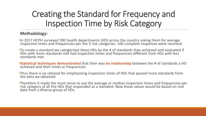#### Creating the Standard for Frequency and Inspection Time by Risk Category

#### **Methodology:**

- •In 2017 HCPH surveyed 390 health departments (HD) across the country asking them for average inspection times and frequencies per the 3 risk categories. 100 complete responses were received.
- •To create a standard we categorized these HDs by the # of standards they achieved and evaluated if HDs with more standards met had inspection times and frequencies different from HDs with less standards met.
- •**Statistical techniques demonstrated** that their was **no relationship** between the # of standards a HD achieved and their times or frequencies
- •Thus there is no rational for emphasizing inspection times of HDs that passed more standards from the data we obtained
- •Therefore it made the most sense to use the average or median inspection times and frequencies per risk category of all the HDs that responded as a standard. Now these values would be based on real data from a diverse group of HDs.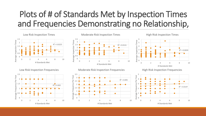#### Plots of # of Standards Met by Inspection Times and Frequencies Demonstrating no Relationship,

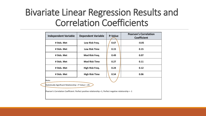#### Bivariate Linear Regression Results and Correlation Coefficients

|                                                        | <b>Independent Variable</b>                                                                             | <b>Dependent Variable</b> | <b>P-Value</b> | <b>Pearson's Correlation</b><br><b>Coefficient</b> |  |  |  |
|--------------------------------------------------------|---------------------------------------------------------------------------------------------------------|---------------------------|----------------|----------------------------------------------------|--|--|--|
|                                                        | # Stds. Met                                                                                             | Low Risk Freq.            | 0.67           | $-0.05$                                            |  |  |  |
|                                                        | # Stds. Met                                                                                             | <b>Low Risk Time</b>      | 0.15           | 0.15                                               |  |  |  |
|                                                        | # Stds. Met                                                                                             | Mod Risk Freq.            | 0.49           | 0.07                                               |  |  |  |
|                                                        | # Stds. Met                                                                                             | <b>Mod Risk Time</b>      | 0.27           | 0.11                                               |  |  |  |
|                                                        | # Stds. Met                                                                                             | High Risk Freq.           | 0.24           | 0.12                                               |  |  |  |
|                                                        | # Stds. Met                                                                                             | <b>High Risk Time</b>     | 0.54           | 0.06                                               |  |  |  |
|                                                        | Note:                                                                                                   |                           |                |                                                    |  |  |  |
| Statistically Significant Relationship = P-Value < .05 |                                                                                                         |                           |                |                                                    |  |  |  |
|                                                        | Pearson's Correlation Coefficient: Perfect positive relationship =1, Perfect negative relationship = -1 |                           |                |                                                    |  |  |  |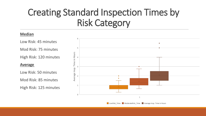# Creating Standard Inspection Times by Risk Category

#### **Median**

Low Risk: 45 minutes Mod Risk: 75 minutes

High Risk: 120 minutes

#### **Average**

Low Risk: 50 minutes Mod Risk: 85 minutes High Risk: 125 minutes



LowRisk Time ModerateRisk Time Average Insp. Time in Hours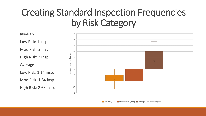### Creating Standard Inspection Frequencies by Risk Category



LowRisk Freq ModerateRisk Freq Average Frequency Per year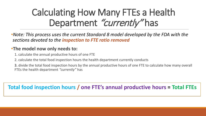# Calculating How Many FTEs a Health Department "currently" has

•*Note: This process uses the current Standard 8 model developed by the FDA with the sections devoted to the inspection to FTE ratio removed* 

#### •**The model now only needs to:**

- 1. calculate the annual productive hours of one FTE
- 2. calculate the total food inspection hours the health department currently conducts
- 3. divide the total food inspection hours by the annual productive hours of one FTE to calculate how many overall FTEs the health department *"currently"* has

**Total food inspection hours / one FTE's annual productive hours = Total FTEs**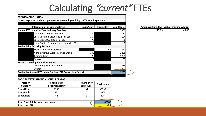#### Calculating "current" FTEs

| <b>FTE DATA CALCULATION</b>               |                                                                                 |                  |                    |                    |                     |                             |
|-------------------------------------------|---------------------------------------------------------------------------------|------------------|--------------------|--------------------|---------------------|-----------------------------|
|                                           | Calculate productive hours per year for an employee doing 100% food inspections |                  |                    |                    |                     |                             |
|                                           | <b>Information For One Employee</b>                                             | Hours/Year       | Hours/Day          | <b>Total Hours</b> | Actual working days | <b>Actual working weeks</b> |
|                                           | Annual FTE Hours Per Year: Industry Standard                                    |                  |                    | 2080               | 227.25              | 45.45                       |
|                                           | Local Holiday Hours Per Year                                                    | 80               |                    | 80                 |                     |                             |
| Local Vacation Leave Hours Per Year       |                                                                                 | 104              |                    | 104                |                     |                             |
|                                           | Local Sick Leave Hours Per Year                                                 | 78               |                    | 78                 |                     |                             |
|                                           | Local Family-Personal Leave Hours Per Year                                      | $\overline{O}$   |                    |                    |                     |                             |
| <b>Productivity Factoring Per Year</b>    |                                                                                 |                  |                    |                    |                     |                             |
|                                           | Travel Time For Inspection                                                      |                  | 1.5                | 1477               |                     |                             |
|                                           | Administrative Work (in-office work)                                            | 192              |                    | 1285               |                     |                             |
|                                           | <b>Training Time</b>                                                            | 20               |                    | 1265               |                     |                             |
| <b>Others</b>                             |                                                                                 | $\overline{0}$   |                    | 1265               |                     |                             |
| Personal Development Time Per Year        |                                                                                 |                  |                    |                    |                     |                             |
|                                           | Continuing Education Hours                                                      | 12               |                    | 1253               |                     |                             |
| <b>Others</b>                             |                                                                                 |                  | $\overline{0}$     | 1253               |                     |                             |
|                                           | Productive Annual FTE Hours Per Year (FTE Conversion Factor)                    |                  |                    | 1253               |                     |                             |
|                                           |                                                                                 |                  |                    |                    |                     |                             |
|                                           | <b>FOOD SAFETY INSPECTION HOURS PER YEAR</b>                                    |                  |                    |                    |                     |                             |
| <b>Position</b>                           | <b>Food Safety</b>                                                              | <b>Number of</b> |                    |                    |                     |                             |
| Category                                  | <b>Inspection Hours</b>                                                         | <b>Employees</b> | <b>Total Hours</b> |                    |                     |                             |
| Food/NNA                                  | 1239                                                                            | 31               | 38397              |                    |                     |                             |
| Food/Pools                                | 831                                                                             | 2                | 1663               |                    |                     |                             |
| Supervisors                               | 42                                                                              | 3                | 126                |                    |                     |                             |
| <b>Total Food Safety Inspection Hours</b> |                                                                                 |                  | 40186              |                    |                     |                             |
| <b>Total Local FTE</b>                    |                                                                                 |                  | 32.1               |                    |                     |                             |

|        | Actual working days Actual working weeks |
|--------|------------------------------------------|
| 227.25 | 45.45                                    |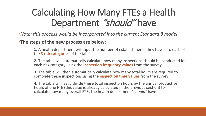# Calculating How Many FTEs a Health Department "should" have

•*Note: this process would be incorporated into the current Standard 8 model* 

•**The steps of the new process are below:**

**1.** A health department will input the number of establishments they have into each of the **3 risk categories** of the table

**2.** The table will automatically calculate how many inspections should be conducted for each risk category using the **inspection frequency values** from the survey

**3.** The table will then automatically calculate how many total hours are required to complete these inspections using the **inspection time values** from the survey

**4.** The table will lastly divide these total inspection hours by the annual productive hours of one FTE (this value is already calculated in the previous section) to calculate how many overall FTEs the health department "*should"* have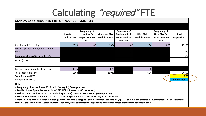# Calculating "required" FTE

#### **STANDARD 8's REQUIRED FTE FOR YOUR JURISDICTION**

|                                               | <b>Low Risk</b><br><b>Establishment</b> | <b>Frequency of</b><br>Low Risk Est<br><b>Inspections Per</b><br>Year | <b>Moderate Risk</b><br>Establishment | <b>Frequency of</b><br><b>Moderate Risk</b><br><b>Est Inspections</b><br>Per Year | <b>High Risk</b><br>Establishment | <b>Frequency of</b><br><b>High Risk Est</b><br><b>Inspections Per</b><br>Year | <b>Total</b><br><b>Inspections</b> |
|-----------------------------------------------|-----------------------------------------|-----------------------------------------------------------------------|---------------------------------------|-----------------------------------------------------------------------------------|-----------------------------------|-------------------------------------------------------------------------------|------------------------------------|
| Routine and Permitting                        | 2090                                    | 1.00                                                                  | 6374                                  | 2.00                                                                              | 104                               | 3.00                                                                          | 15150                              |
| Follow Up Inspections/Re-inspections<br>(15%) |                                         |                                                                       |                                       |                                                                                   |                                   |                                                                               | 2550                               |
| Foodborne Illness Complaints (1%)             |                                         |                                                                       |                                       |                                                                                   |                                   |                                                                               | 170                                |
| Other (10%)                                   |                                         |                                                                       |                                       |                                                                                   |                                   |                                                                               | 1700                               |
|                                               |                                         |                                                                       |                                       |                                                                                   |                                   |                                                                               |                                    |
| Median Hours Spent Per Inspection             | 0.75                                    |                                                                       | 1.25                                  |                                                                                   | 2.00                              |                                                                               |                                    |
| <b>Total Inspection Time</b>                  | 1568                                    |                                                                       | 15935                                 |                                                                                   | 624                               |                                                                               | 24757                              |
| <b>Total Required FTE</b>                     |                                         |                                                                       |                                       |                                                                                   |                                   | <b>19.76</b>                                                                  |                                    |
| <b>Standard 8 Criteria</b>                    |                                         |                                                                       |                                       |                                                                                   |                                   |                                                                               | <b>Standard met</b>                |

**Notes:** 

- **Frequency of inspections - 2017 HCPH Survey 1 (100 responses)**
- **Median Hours Spent Per Inspection -2017 HCPH Survey 1 (100 responses)**
- **Follow Up Inspections % (out of total # inspections) - 2017 HCPH Survey 2 (60 responses)**
- **Foodborne Illness Complaints % (out of total # inspections)- 2017 HCPH Survey 2 (60 responses)**

**• Other % (out of total # inspections) E.g. from** *Standard 8 Staffing Level Assessment Workbook, pg. 10 - complaints, outbreak investigations, risk assessment* **reviews, process reviews, variance process reviews, final construction inspections and "other direct establishment contact time"**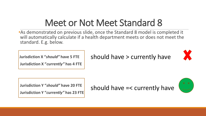# Meet or Not Meet Standard 8

•As demonstrated on previous slide, once the Standard 8 model is completed it will automatically calculate if a health department meets or does not meet the standard. E.g. below.

**Jurisdiction X "***should"* **have 5 FTE**

**Jurisdiction X "***currently"* **has 4 FTE**

should have > currently have



**Jurisdiction Y "***should"* **have 20 FTE Jurisdiction Y "***currently"* **has 23 FTE**

should have =< currently have

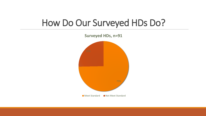#### How Do Our Surveyed HDs Do?

75% **Surveyed HDs, n=91 Meet Standard Allect Standard**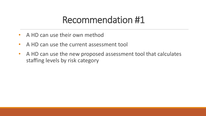#### Recommendation #1

- A HD can use their own method
- A HD can use the current assessment tool
- A HD can use the new proposed assessment tool that calculates staffing levels by risk category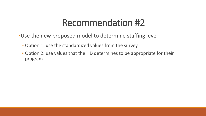#### Recommendation #2

- •Use the new proposed model to determine staffing level
	- Option 1: use the standardized values from the survey
	- Option 2: use values that the HD determines to be appropriate for their program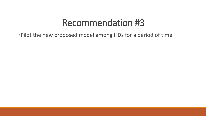#### Recommendation #3

•Pilot the new proposed model among HDs for a period of time